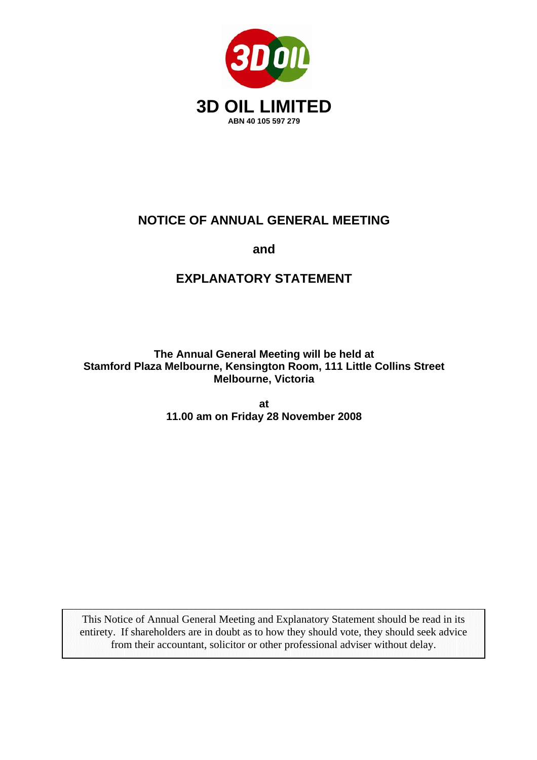

## **NOTICE OF ANNUAL GENERAL MEETING**

**and** 

# **EXPLANATORY STATEMENT**

**The Annual General Meeting will be held at Stamford Plaza Melbourne, Kensington Room, 111 Little Collins Street Melbourne, Victoria** 

> **at 11.00 am on Friday 28 November 2008**

This Notice of Annual General Meeting and Explanatory Statement should be read in its entirety. If shareholders are in doubt as to how they should vote, they should seek advice from their accountant, solicitor or other professional adviser without delay.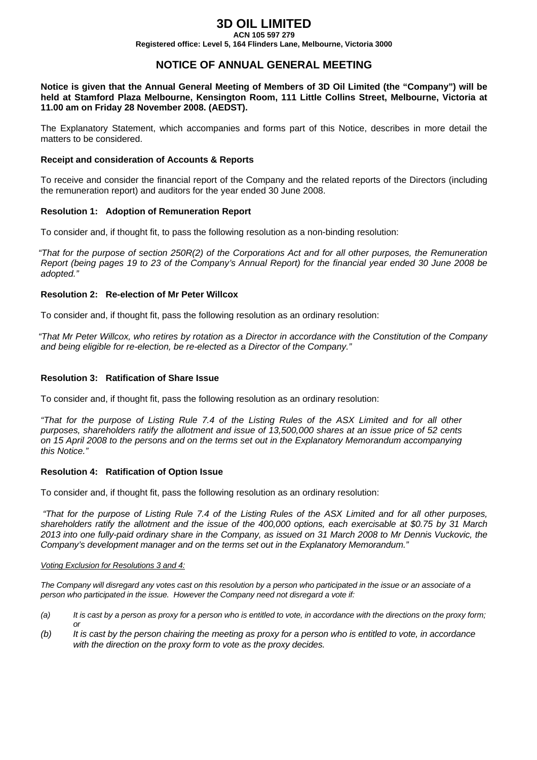## **3D OIL LIMITED**

**ACN 105 597 279 Registered office: Level 5, 164 Flinders Lane, Melbourne, Victoria 3000** 

### **NOTICE OF ANNUAL GENERAL MEETING**

**Notice is given that the Annual General Meeting of Members of 3D Oil Limited (the "Company") will be held at Stamford Plaza Melbourne, Kensington Room, 111 Little Collins Street, Melbourne, Victoria at 11.00 am on Friday 28 November 2008. (AEDST).** 

The Explanatory Statement, which accompanies and forms part of this Notice, describes in more detail the matters to be considered.

#### **Receipt and consideration of Accounts & Reports**

To receive and consider the financial report of the Company and the related reports of the Directors (including the remuneration report) and auditors for the year ended 30 June 2008.

#### **Resolution 1: Adoption of Remuneration Report**

To consider and, if thought fit, to pass the following resolution as a non-binding resolution:

*"That for the purpose of section 250R(2) of the Corporations Act and for all other purposes, the Remuneration Report (being pages 19 to 23 of the Company's Annual Report) for the financial year ended 30 June 2008 be adopted."* 

#### **Resolution 2: Re-election of Mr Peter Willcox**

To consider and, if thought fit, pass the following resolution as an ordinary resolution:

*"That Mr Peter Willcox, who retires by rotation as a Director in accordance with the Constitution of the Company and being eligible for re-election, be re-elected as a Director of the Company."* 

#### **Resolution 3: Ratification of Share Issue**

To consider and, if thought fit, pass the following resolution as an ordinary resolution:

*"That for the purpose of Listing Rule 7.4 of the Listing Rules of the ASX Limited and for all other purposes, shareholders ratify the allotment and issue of 13,500,000 shares at an issue price of 52 cents on 15 April 2008 to the persons and on the terms set out in the Explanatory Memorandum accompanying this Notice."* 

#### **Resolution 4: Ratification of Option Issue**

To consider and, if thought fit, pass the following resolution as an ordinary resolution:

*"That for the purpose of Listing Rule 7.4 of the Listing Rules of the ASX Limited and for all other purposes, shareholders ratify the allotment and the issue of the 400,000 options, each exercisable at \$0.75 by 31 March 2013 into one fully-paid ordinary share in the Company, as issued on 31 March 2008 to Mr Dennis Vuckovic, the Company's development manager and on the terms set out in the Explanatory Memorandum."* 

#### *Voting Exclusion for Resolutions 3 and 4:*

*The Company will disregard any votes cast on this resolution by a person who participated in the issue or an associate of a person who participated in the issue. However the Company need not disregard a vote if:* 

- *(a) It is cast by a person as proxy for a person who is entitled to vote, in accordance with the directions on the proxy form; or*
- *(b) It is cast by the person chairing the meeting as proxy for a person who is entitled to vote, in accordance with the direction on the proxy form to vote as the proxy decides.*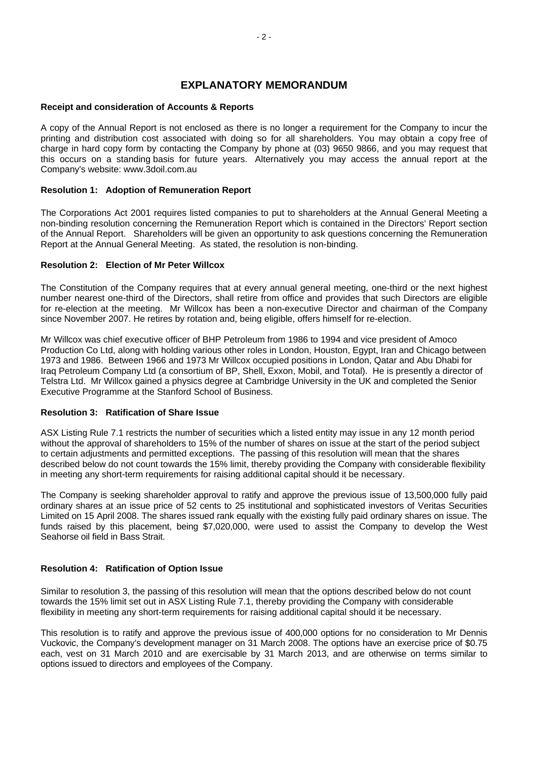### **EXPLANATORY MEMORANDUM**

### **Receipt and consideration of Accounts & Reports**

A copy of the Annual Report is not enclosed as there is no longer a requirement for the Company to incur the printing and distribution cost associated with doing so for all shareholders. You may obtain a copy free of charge in hard copy form by contacting the Company by phone at (03) 9650 9866, and you may request that this occurs on a standing basis for future years. Alternatively you may access the annual report at the Company's website: www.3doil.com.au

### **Resolution 1: Adoption of Remuneration Report**

The Corporations Act 2001 requires listed companies to put to shareholders at the Annual General Meeting a non-binding resolution concerning the Remuneration Report which is contained in the Directors' Report section of the Annual Report.Shareholders will be given an opportunity to ask questions concerning the Remuneration Report at the Annual General Meeting. As stated, the resolution is non-binding.

### **Resolution 2: Election of Mr Peter Willcox**

The Constitution of the Company requires that at every annual general meeting, one-third or the next highest number nearest one-third of the Directors, shall retire from office and provides that such Directors are eligible for re-election at the meeting. Mr Willcox has been a non-executive Director and chairman of the Company since November 2007. He retires by rotation and, being eligible, offers himself for re-election.

Mr Willcox was chief executive officer of BHP Petroleum from 1986 to 1994 and vice president of Amoco Production Co Ltd, along with holding various other roles in London, Houston, Egypt, Iran and Chicago between 1973 and 1986. Between 1966 and 1973 Mr Willcox occupied positions in London, Qatar and Abu Dhabi for Iraq Petroleum Company Ltd (a consortium of BP, Shell, Exxon, Mobil, and Total). He is presently a director of Telstra Ltd. Mr Willcox gained a physics degree at Cambridge University in the UK and completed the Senior Executive Programme at the Stanford School of Business.

### **Resolution 3: Ratification of Share Issue**

ASX Listing Rule 7.1 restricts the number of securities which a listed entity may issue in any 12 month period without the approval of shareholders to 15% of the number of shares on issue at the start of the period subject to certain adjustments and permitted exceptions. The passing of this resolution will mean that the shares described below do not count towards the 15% limit, thereby providing the Company with considerable flexibility in meeting any short-term requirements for raising additional capital should it be necessary.

The Company is seeking shareholder approval to ratify and approve the previous issue of 13,500,000 fully paid ordinary shares at an issue price of 52 cents to 25 institutional and sophisticated investors of Veritas Securities Limited on 15 April 2008. The shares issued rank equally with the existing fully paid ordinary shares on issue. The funds raised by this placement, being \$7,020,000, were used to assist the Company to develop the West Seahorse oil field in Bass Strait.

### **Resolution 4: Ratification of Option Issue**

Similar to resolution 3, the passing of this resolution will mean that the options described below do not count towards the 15% limit set out in ASX Listing Rule 7.1, thereby providing the Company with considerable flexibility in meeting any short-term requirements for raising additional capital should it be necessary.

This resolution is to ratify and approve the previous issue of 400,000 options for no consideration to Mr Dennis Vuckovic, the Company's development manager on 31 March 2008. The options have an exercise price of \$0.75 each, vest on 31 March 2010 and are exercisable by 31 March 2013, and are otherwise on terms similar to options issued to directors and employees of the Company.